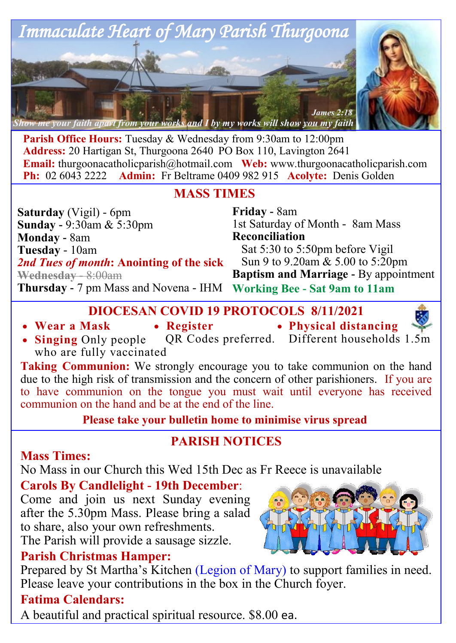

**Parish Office Hours:** Tuesday & Wednesday from 9:30am to 12:00pm **Address:** 20 Hartigan St, Thurgoona 2640 PO Box 110, Lavington 2641 **Email:** thurgoonacatholicparish@hotmail.com Web: www.thurgoonacatholicparish.com Ph: 02 6043 2222 Admin: Fr Beltrame 0409 982 915 Acolyte: Denis Golden **Admin:** Fr Beltrame 0409 982 915 **Acolyte:** Denis Golden

### **MASS TIMES**

| <b>Saturday</b> (Vigil) - 6pm                                       | <b>Friday</b> - 8am                          |
|---------------------------------------------------------------------|----------------------------------------------|
| <b>Sunday - 9:30am &amp; 5:30pm</b>                                 | 1st Saturday of Month - 8am Mass             |
| <b>Monday - 8am</b>                                                 | Reconciliation                               |
| Tuesday - 10am                                                      | Sat 5:30 to 5:50pm before Vigil              |
| 2nd Tues of month: Anointing of the sick                            | Sun 9 to 9.20am & 5.00 to 5:20pm             |
| Wednesday 8:00am                                                    | <b>Baptism and Marriage - By appointment</b> |
| Thursday - 7 pm Mass and Novena - IHM Working Bee - Sat 9am to 11am |                                              |

**DIOCESAN COVID 19 PROTOCOLS 8/11/2021**

- **Wear a Mask**
- **Register**
- **Physical distancing**



**Taking Communion:** We strongly encourage you to take communion on the hand due to the high risk of transmission and the concern of other parishioners. If you are to have communion on the tongue you must wait until everyone has received communion on the hand and be at the end of the line.

**Please take your bulletin home to minimise virus spread** 

# **PARISH NOTICES**

## **Mass Times:**

No Mass in our Church this Wed 15th Dec as Fr Reece is unavailable

## **Carols By Candlelight - 19th December**:

Come and join us next Sunday evening after the 5.30pm Mass. Please bring a salad to share, also your own refreshments.

The Parish will provide a sausage sizzle.

## **Parish Christmas Hamper:**

Prepared by St Martha's Kitchen (Legion of Mary) to support families in need. Please leave your contributions in the box in the Church foyer.

## **Fatima Calendars:**

A beautiful and practical spiritual resource. \$8.00 ea.



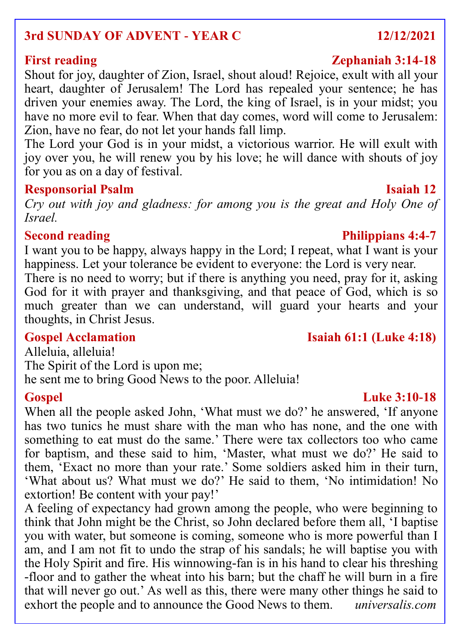## **3rd SUNDAY OF ADVENT - YEAR C 12/12/2021**

Shout for joy, daughter of Zion, Israel, shout aloud! Rejoice, exult with all your heart, daughter of Jerusalem! The Lord has repealed your sentence; he has driven your enemies away. The Lord, the king of Israel, is in your midst; you have no more evil to fear. When that day comes, word will come to Jerusalem: Zion, have no fear, do not let your hands fall limp.

The Lord your God is in your midst, a victorious warrior. He will exult with joy over you, he will renew you by his love; he will dance with shouts of joy for you as on a day of festival.

### **Responsorial Psalm Isaiah 12**

*Cry out with joy and gladness: for among you is the great and Holy One of Israel.*

### **Second reading Philippians 4:4-7**

I want you to be happy, always happy in the Lord; I repeat, what I want is your happiness. Let your tolerance be evident to everyone: the Lord is very near.

There is no need to worry; but if there is anything you need, pray for it, asking God for it with prayer and thanksgiving, and that peace of God, which is so much greater than we can understand, will guard your hearts and your thoughts, in Christ Jesus.

Alleluia, alleluia! The Spirit of the Lord is upon me; he sent me to bring Good News to the poor. Alleluia!

### **Gospel Luke 3:10-18**

When all the people asked John, 'What must we do?' he answered, 'If anyone has two tunics he must share with the man who has none, and the one with something to eat must do the same.' There were tax collectors too who came for baptism, and these said to him, 'Master, what must we do?' He said to them, 'Exact no more than your rate.' Some soldiers asked him in their turn, 'What about us? What must we do?' He said to them, 'No intimidation! No extortion! Be content with your pay!'

A feeling of expectancy had grown among the people, who were beginning to think that John might be the Christ, so John declared before them all, 'I baptise you with water, but someone is coming, someone who is more powerful than I am, and I am not fit to undo the strap of his sandals; he will baptise you with the Holy Spirit and fire. His winnowing-fan is in his hand to clear his threshing -floor and to gather the wheat into his barn; but the chaff he will burn in a fire that will never go out.' As well as this, there were many other things he said to exhort the people and to announce the Good News to them. *universalis.com*

## **First reading Zephaniah 3:14-18**

## **Gospel Acclamation Isaiah 61:1 (Luke 4:18)**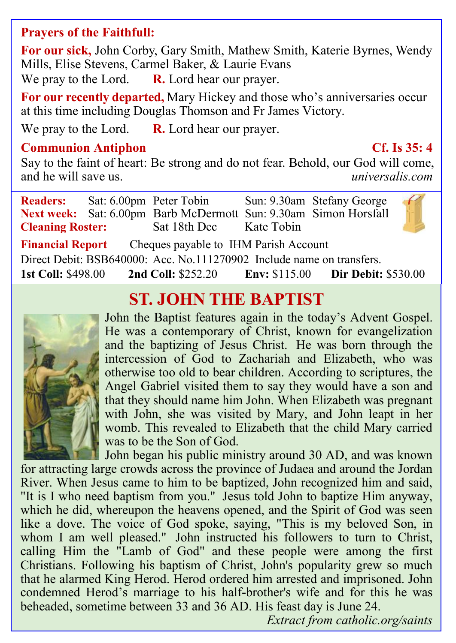### **Prayers of the Faithfull:**

**For our sick,** John Corby, Gary Smith, Mathew Smith, Katerie Byrnes, Wendy Mills, Elise Stevens, Carmel Baker, & Laurie Evans

We pray to the Lord. **R.** Lord hear our prayer.

**For our recently departed,** Mary Hickey and those who's anniversaries occur at this time including Douglas Thomson and Fr James Victory.

We pray to the Lord. **R.** Lord hear our prayer.

### **Communion Antiphon Cf. Is 35: 4**

Say to the faint of heart: Be strong and do not fear. Behold, our God will come, and he will save us. *universalis.com*

|                                                                       |  | <b>Readers:</b> Sat: 6.00pm Peter Tobin Sun: 9.30am Stefany George<br>Next week: Sat: 6.00pm Barb McDermott Sun: 9.30am Simon Horsfall<br><b>Cleaning Roster:</b> Sat 18th Dec Kate Tobin |  |  | $\epsilon$ |  |
|-----------------------------------------------------------------------|--|-------------------------------------------------------------------------------------------------------------------------------------------------------------------------------------------|--|--|------------|--|
| <b>Financial Report</b> Cheques payable to IHM Parish Account         |  |                                                                                                                                                                                           |  |  |            |  |
| Direct Debit: BSB640000: Acc. No.111270902 Include name on transfers. |  |                                                                                                                                                                                           |  |  |            |  |
|                                                                       |  | 1st Coll: \$498.00 2nd Coll: \$252.20 Env: \$115.00 Dir Debit: \$530.00                                                                                                                   |  |  |            |  |

# **ST. JOHN THE BAPTIST**



John the Baptist features again in the today's Advent Gospel. He was a contemporary of Christ, known for evangelization and the baptizing of Jesus Christ. He was born through the intercession of God to Zachariah and Elizabeth, who was otherwise too old to bear children. According to scriptures, the Angel Gabriel visited them to say they would have a son and that they should name him John. When Elizabeth was pregnant with John, she was visited by Mary, and John leapt in her womb. This revealed to Elizabeth that the child Mary carried was to be the Son of God.

John began his public ministry around 30 AD, and was known for attracting large crowds across the province of Judaea and around the Jordan River. When Jesus came to him to be baptized, John recognized him and said, "It is I who need baptism from you." Jesus told John to baptize Him anyway, which he did, whereupon the heavens opened, and the Spirit of God was seen like a dove. The voice of God spoke, saying, "This is my beloved Son, in whom I am well pleased." John instructed his followers to turn to Christ, calling Him the "Lamb of God" and these people were among the first Christians. Following his baptism of Christ, John's popularity grew so much that he alarmed King Herod. Herod ordered him arrested and imprisoned. John condemned Herod's marriage to his half-brother's wife and for this he was beheaded, sometime between 33 and 36 AD. His feast day is June 24.

*Extract from catholic.org/saints*